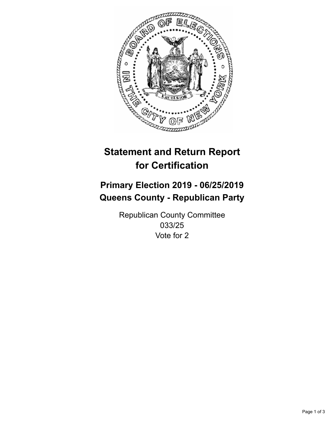

## **Statement and Return Report for Certification**

## **Primary Election 2019 - 06/25/2019 Queens County - Republican Party**

Republican County Committee 033/25 Vote for 2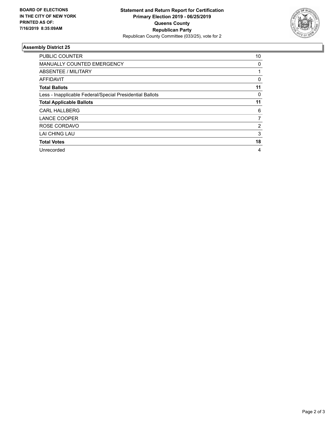

## **Assembly District 25**

| <b>PUBLIC COUNTER</b>                                    | 10             |
|----------------------------------------------------------|----------------|
| <b>MANUALLY COUNTED EMERGENCY</b>                        | 0              |
| ABSENTEE / MILITARY                                      |                |
| AFFIDAVIT                                                | 0              |
| <b>Total Ballots</b>                                     | 11             |
| Less - Inapplicable Federal/Special Presidential Ballots | 0              |
| <b>Total Applicable Ballots</b>                          | 11             |
| <b>CARL HALLBERG</b>                                     | 6              |
| <b>LANCE COOPER</b>                                      | 7              |
| ROSE CORDAVO                                             | $\overline{2}$ |
| LAI CHING LAU                                            | 3              |
| <b>Total Votes</b>                                       | 18             |
| Unrecorded                                               | 4              |